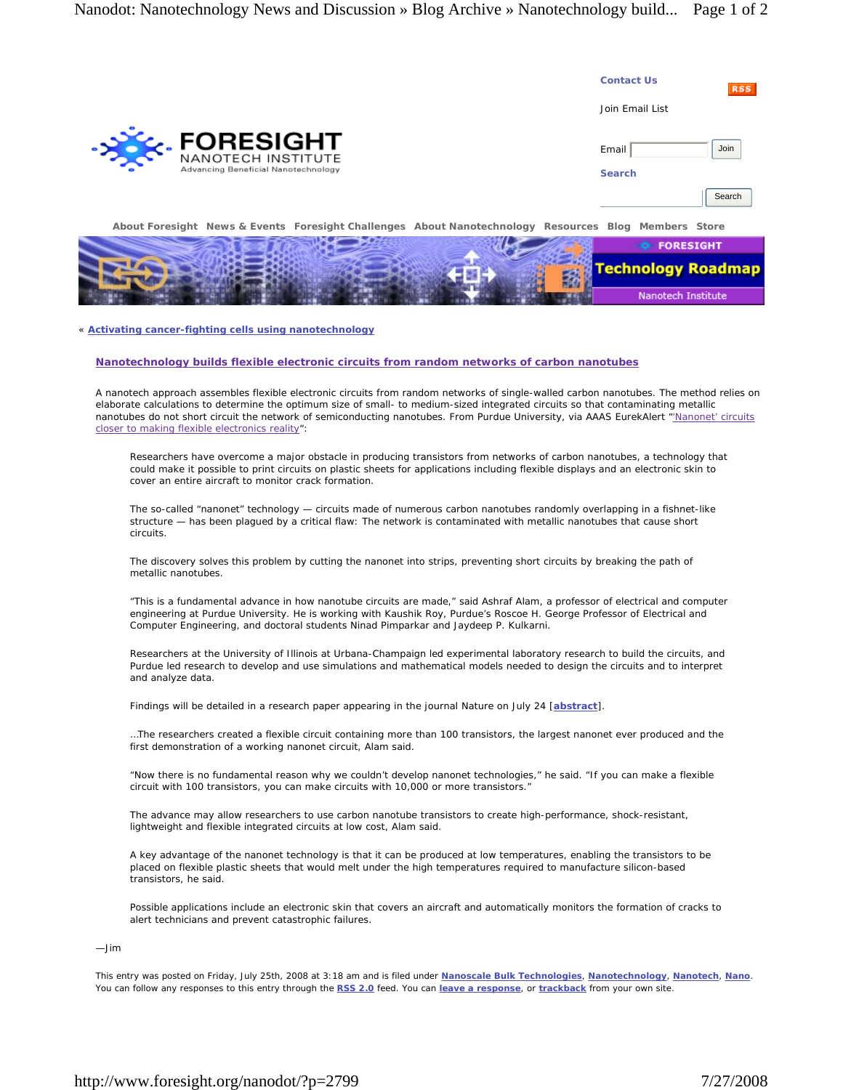|                                                                                                      | <b>Contact Us</b>      | <b>RSS</b> |
|------------------------------------------------------------------------------------------------------|------------------------|------------|
|                                                                                                      | Join Email List        |            |
| ->><<<<<<> MANOTECH INSTITUTE<br>Advancing Beneficial Nanotechnology                                 | Email<br><b>Search</b> | Join       |
|                                                                                                      |                        | Search     |
| About Foresight News & Events Foresight Challenges About Nanotechnology Resources Blog Members Store |                        |            |

|  |  | <b>FORESIGHT</b>          |
|--|--|---------------------------|
|  |  | <b>Technology Roadmap</b> |
|  |  |                           |
|  |  | Nanotech Institute        |

## « **Activating cancer-fighting cells using nanotechnology**

## **Nanotechnology builds flexible electronic circuits from random networks of carbon nanotubes**

A nanotech approach assembles flexible electronic circuits from random networks of single-walled carbon nanotubes. The method relies on elaborate calculations to determine the optimum size of small- to medium-sized integrated circuits so that contaminating metallic nanotubes do not short circuit the network of semiconducting nanotubes. From Purdue University, via AAAS EurekAlert "Nanonet' circuits closer to making flexible electronics reality":

Researchers have overcome a major obstacle in producing transistors from networks of carbon nanotubes, a technology that could make it possible to print circuits on plastic sheets for applications including flexible displays and an electronic skin to cover an entire aircraft to monitor crack formation.

The so-called "nanonet" technology — circuits made of numerous carbon nanotubes randomly overlapping in a fishnet-like structure — has been plagued by a critical flaw: The network is contaminated with metallic nanotubes that cause short circuits.

The discovery solves this problem by cutting the nanonet into strips, preventing short circuits by breaking the path of metallic nanotubes.

"This is a fundamental advance in how nanotube circuits are made," said Ashraf Alam, a professor of electrical and computer engineering at Purdue University. He is working with Kaushik Roy, Purdue's Roscoe H. George Professor of Electrical and Computer Engineering, and doctoral students Ninad Pimparkar and Jaydeep P. Kulkarni.

Researchers at the University of Illinois at Urbana-Champaign led experimental laboratory research to build the circuits, and Purdue led research to develop and use simulations and mathematical models needed to design the circuits and to interpret and analyze data.

Findings will be detailed in a research paper appearing in the journal *Nature* on July 24 [**abstract**].

…The researchers created a flexible circuit containing more than 100 transistors, the largest nanonet ever produced and the first demonstration of a working nanonet circuit, Alam said.

"Now there is no fundamental reason why we couldn't develop nanonet technologies," he said. "If you can make a flexible circuit with 100 transistors, you can make circuits with 10,000 or more transistors."

The advance may allow researchers to use carbon nanotube transistors to create high-performance, shock-resistant, lightweight and flexible integrated circuits at low cost, Alam said.

A key advantage of the nanonet technology is that it can be produced at low temperatures, enabling the transistors to be placed on flexible plastic sheets that would melt under the high temperatures required to manufacture silicon-based transistors, he said.

Possible applications include an electronic skin that covers an aircraft and automatically monitors the formation of cracks to alert technicians and prevent catastrophic failures.

—Jim

This entry was posted on Friday, July 25th, 2008 at 3:18 am and is filed under **Nanoscale Bulk Technologies**, **Nanotechnology**, **Nanotech**, **Nano**. You can follow any responses to this entry through the **RSS 2.0** feed. You can **leave a response**, or **trackback** from your own site.